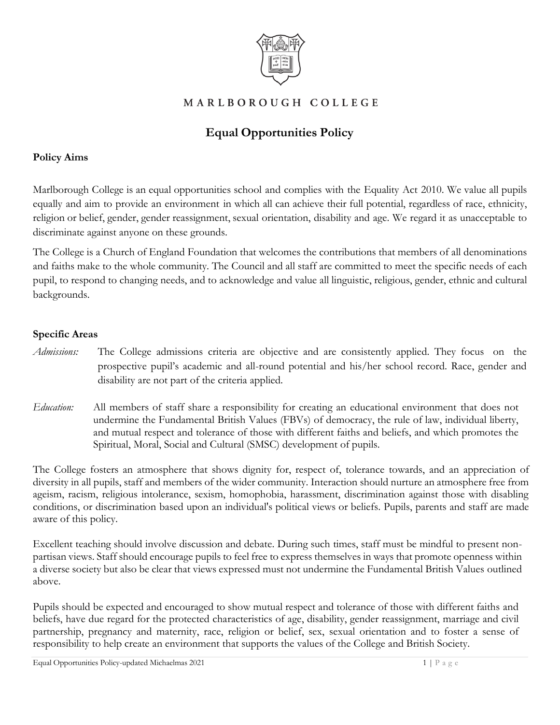

## MARLBOROUGH COLLEGE

# **Equal Opportunities Policy**

#### **Policy Aims**

Marlborough College is an equal opportunities school and complies with the Equality Act 2010. We value all pupils equally and aim to provide an environment in which all can achieve their full potential, regardless of race, ethnicity, religion or belief, gender, gender reassignment, sexual orientation, disability and age. We regard it as unacceptable to discriminate against anyone on these grounds.

The College is a Church of England Foundation that welcomes the contributions that members of all denominations and faiths make to the whole community. The Council and all staff are committed to meet the specific needs of each pupil, to respond to changing needs, and to acknowledge and value all linguistic, religious, gender, ethnic and cultural backgrounds.

### **Specific Areas**

- *Admissions:* The College admissions criteria are objective and are consistently applied. They focus on the prospective pupil's academic and all-round potential and his/her school record. Race, gender and disability are not part of the criteria applied.
- *Education:* All members of staff share a responsibility for creating an educational environment that does not undermine the Fundamental British Values (FBVs) of democracy, the rule of law, individual liberty, and mutual respect and tolerance of those with different faiths and beliefs, and which promotes the Spiritual, Moral, Social and Cultural (SMSC) development of pupils.

The College fosters an atmosphere that shows dignity for, respect of, tolerance towards, and an appreciation of diversity in all pupils, staff and members of the wider community. Interaction should nurture an atmosphere free from ageism, racism, religious intolerance, sexism, homophobia, harassment, discrimination against those with disabling conditions, or discrimination based upon an individual's political views or beliefs. Pupils, parents and staff are made aware of this policy.

Excellent teaching should involve discussion and debate. During such times, staff must be mindful to present nonpartisan views. Staff should encourage pupils to feel free to express themselves in ways that promote openness within a diverse society but also be clear that views expressed must not undermine the Fundamental British Values outlined above.

Pupils should be expected and encouraged to show mutual respect and tolerance of those with different faiths and beliefs, have due regard for the protected characteristics of age, disability, gender reassignment, marriage and civil partnership, pregnancy and maternity, race, religion or belief, sex, sexual orientation and to foster a sense of responsibility to help create an environment that supports the values of the College and British Society.